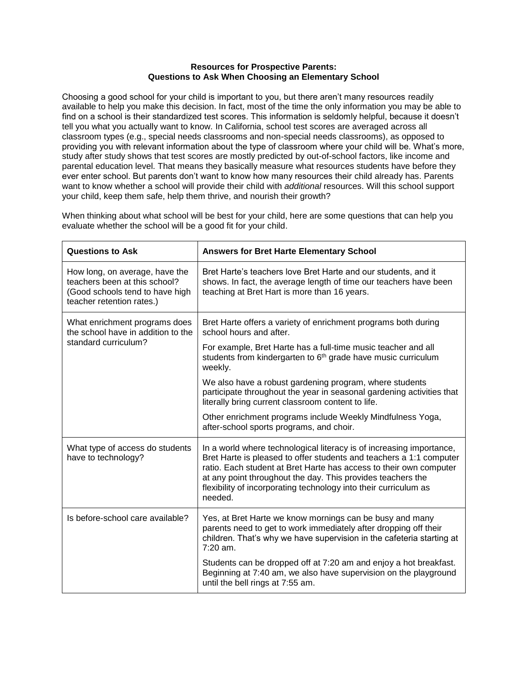## **Resources for Prospective Parents: Questions to Ask When Choosing an Elementary School**

Choosing a good school for your child is important to you, but there aren't many resources readily available to help you make this decision. In fact, most of the time the only information you may be able to find on a school is their standardized test scores. This information is seldomly helpful, because it doesn't tell you what you actually want to know. In California, school test scores are averaged across all classroom types (e.g., special needs classrooms and non-special needs classrooms), as opposed to providing you with relevant information about the type of classroom where your child will be. What's more, study after study shows that test scores are mostly predicted by out-of-school factors, like income and parental education level. That means they basically measure what resources students have before they ever enter school. But parents don't want to know how many resources their child already has. Parents want to know whether a school will provide their child with *additional* resources. Will this school support your child, keep them safe, help them thrive, and nourish their growth?

| <b>Questions to Ask</b>                                                                                                         | <b>Answers for Bret Harte Elementary School</b>                                                                                                                                                                                                                                                                                                                 |
|---------------------------------------------------------------------------------------------------------------------------------|-----------------------------------------------------------------------------------------------------------------------------------------------------------------------------------------------------------------------------------------------------------------------------------------------------------------------------------------------------------------|
| How long, on average, have the<br>teachers been at this school?<br>(Good schools tend to have high<br>teacher retention rates.) | Bret Harte's teachers love Bret Harte and our students, and it<br>shows. In fact, the average length of time our teachers have been<br>teaching at Bret Hart is more than 16 years.                                                                                                                                                                             |
| What enrichment programs does<br>the school have in addition to the<br>standard curriculum?                                     | Bret Harte offers a variety of enrichment programs both during<br>school hours and after.                                                                                                                                                                                                                                                                       |
|                                                                                                                                 | For example, Bret Harte has a full-time music teacher and all<br>students from kindergarten to 6 <sup>th</sup> grade have music curriculum<br>weekly.                                                                                                                                                                                                           |
|                                                                                                                                 | We also have a robust gardening program, where students<br>participate throughout the year in seasonal gardening activities that<br>literally bring current classroom content to life.                                                                                                                                                                          |
|                                                                                                                                 | Other enrichment programs include Weekly Mindfulness Yoga,<br>after-school sports programs, and choir.                                                                                                                                                                                                                                                          |
| What type of access do students<br>have to technology?                                                                          | In a world where technological literacy is of increasing importance,<br>Bret Harte is pleased to offer students and teachers a 1:1 computer<br>ratio. Each student at Bret Harte has access to their own computer<br>at any point throughout the day. This provides teachers the<br>flexibility of incorporating technology into their curriculum as<br>needed. |
| Is before-school care available?                                                                                                | Yes, at Bret Harte we know mornings can be busy and many<br>parents need to get to work immediately after dropping off their<br>children. That's why we have supervision in the cafeteria starting at<br>$7:20$ am.                                                                                                                                             |
|                                                                                                                                 | Students can be dropped off at 7:20 am and enjoy a hot breakfast.<br>Beginning at 7:40 am, we also have supervision on the playground<br>until the bell rings at 7:55 am.                                                                                                                                                                                       |

When thinking about what school will be best for your child, here are some questions that can help you evaluate whether the school will be a good fit for your child.